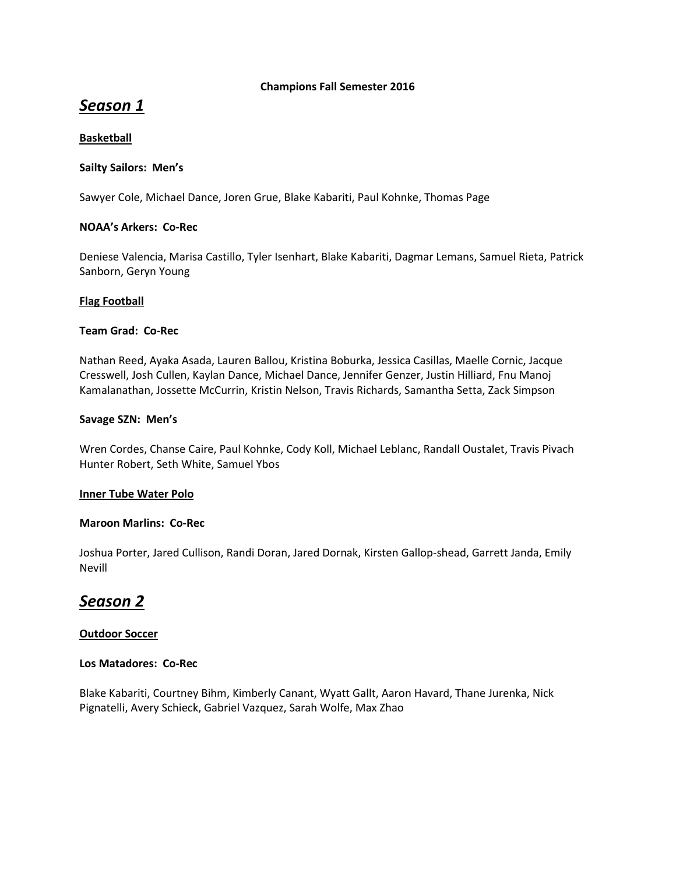## **Champions Fall Semester 2016**

# *Season 1*

# **Basketball**

# **Sailty Sailors: Men's**

Sawyer Cole, Michael Dance, Joren Grue, Blake Kabariti, Paul Kohnke, Thomas Page

# **NOAA's Arkers: Co-Rec**

Deniese Valencia, Marisa Castillo, Tyler Isenhart, Blake Kabariti, Dagmar Lemans, Samuel Rieta, Patrick Sanborn, Geryn Young

# **Flag Football**

# **Team Grad: Co-Rec**

Nathan Reed, Ayaka Asada, Lauren Ballou, Kristina Boburka, Jessica Casillas, Maelle Cornic, Jacque Cresswell, Josh Cullen, Kaylan Dance, Michael Dance, Jennifer Genzer, Justin Hilliard, Fnu Manoj Kamalanathan, Jossette McCurrin, Kristin Nelson, Travis Richards, Samantha Setta, Zack Simpson

# **Savage SZN: Men's**

Wren Cordes, Chanse Caire, Paul Kohnke, Cody Koll, Michael Leblanc, Randall Oustalet, Travis Pivach Hunter Robert, Seth White, Samuel Ybos

# **Inner Tube Water Polo**

# **Maroon Marlins: Co-Rec**

Joshua Porter, Jared Cullison, Randi Doran, Jared Dornak, Kirsten Gallop-shead, Garrett Janda, Emily Nevill

# *Season 2*

# **Outdoor Soccer**

# **Los Matadores: Co-Rec**

Blake Kabariti, Courtney Bihm, Kimberly Canant, Wyatt Gallt, Aaron Havard, Thane Jurenka, Nick Pignatelli, Avery Schieck, Gabriel Vazquez, Sarah Wolfe, Max Zhao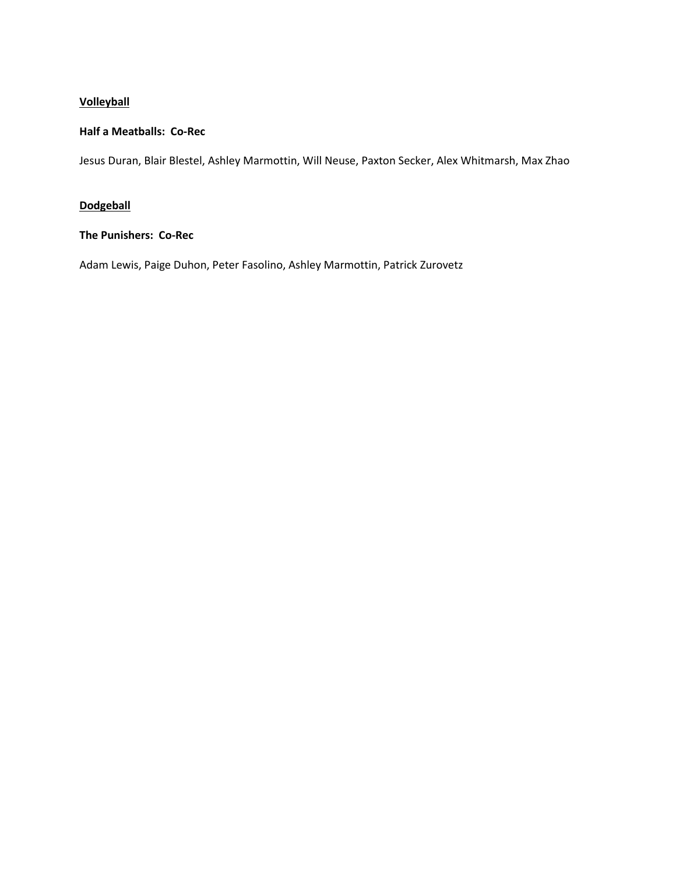# **Volleyball**

## **Half a Meatballs: Co-Rec**

Jesus Duran, Blair Blestel, Ashley Marmottin, Will Neuse, Paxton Secker, Alex Whitmarsh, Max Zhao

# **Dodgeball**

# **The Punishers: Co-Rec**

Adam Lewis, Paige Duhon, Peter Fasolino, Ashley Marmottin, Patrick Zurovetz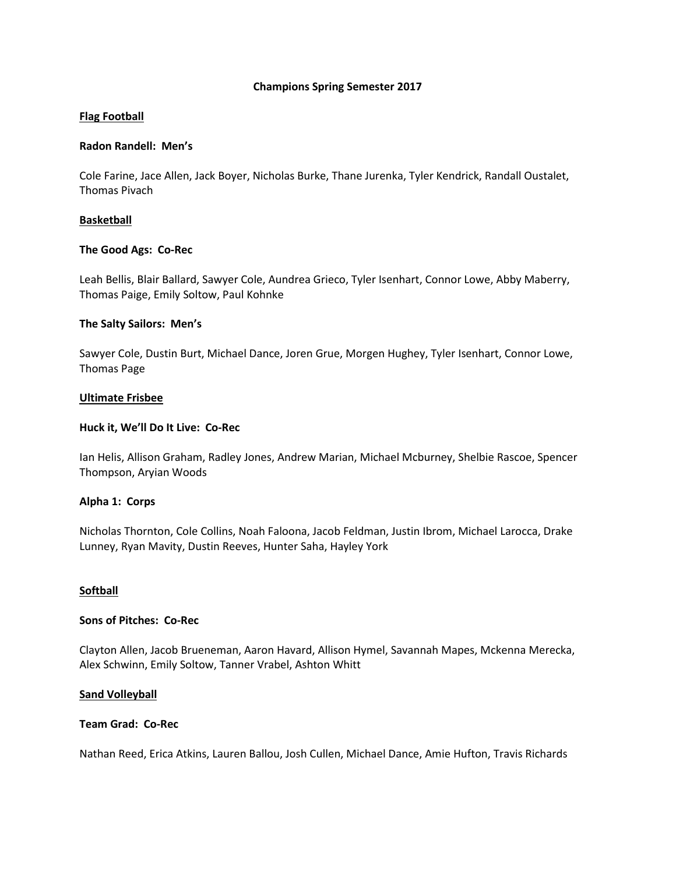#### **Champions Spring Semester 2017**

## **Flag Football**

#### **Radon Randell: Men's**

Cole Farine, Jace Allen, Jack Boyer, Nicholas Burke, Thane Jurenka, Tyler Kendrick, Randall Oustalet, Thomas Pivach

### **Basketball**

### **The Good Ags: Co-Rec**

Leah Bellis, Blair Ballard, Sawyer Cole, Aundrea Grieco, Tyler Isenhart, Connor Lowe, Abby Maberry, Thomas Paige, Emily Soltow, Paul Kohnke

### **The Salty Sailors: Men's**

Sawyer Cole, Dustin Burt, Michael Dance, Joren Grue, Morgen Hughey, Tyler Isenhart, Connor Lowe, Thomas Page

### **Ultimate Frisbee**

### **Huck it, We'll Do It Live: Co-Rec**

Ian Helis, Allison Graham, Radley Jones, Andrew Marian, Michael Mcburney, Shelbie Rascoe, Spencer Thompson, Aryian Woods

# **Alpha 1: Corps**

Nicholas Thornton, Cole Collins, Noah Faloona, Jacob Feldman, Justin Ibrom, Michael Larocca, Drake Lunney, Ryan Mavity, Dustin Reeves, Hunter Saha, Hayley York

#### **Softball**

#### **Sons of Pitches: Co-Rec**

Clayton Allen, Jacob Brueneman, Aaron Havard, Allison Hymel, Savannah Mapes, Mckenna Merecka, Alex Schwinn, Emily Soltow, Tanner Vrabel, Ashton Whitt

#### **Sand Volleyball**

#### **Team Grad: Co-Rec**

Nathan Reed, Erica Atkins, Lauren Ballou, Josh Cullen, Michael Dance, Amie Hufton, Travis Richards